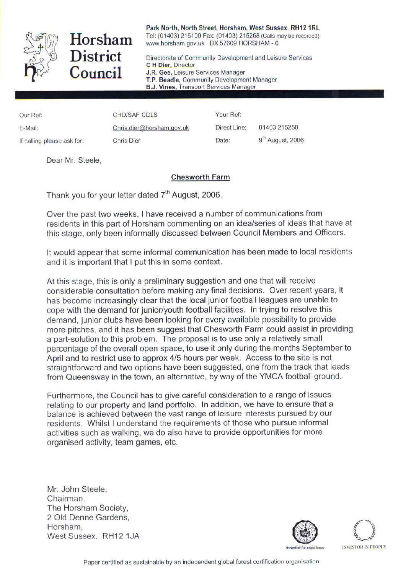

Horsham Council

Park North, North Street, Horsham, West Sussex, RH12 1RL Tel: (01403) 215100 Fax: (01403) 215268 (Calls may be recorded) www.horsham.gov.uk DX 57609 HORSHAM - 6

District Directorate of Community Development and Leisure Services C H Dier, Director J.R. Gee, Leisure Services Manager T.P. Beadle, Community Development Manager **B.J. Vines, Transport Services Manager** 

Our Ref: CHD/SAF CDLS Your Ref: E-Mail: Chris.dier@horsham.gov.uk Direct Line: 01403 215250 If calling please ask for: Chris Dier Chris Chern Date: 9<sup>th</sup> August, 2006

Dear Mr. Steele,

## Chesworth Farm

Thank you for your letter dated  $7<sup>th</sup>$  August, 2006.

Over the past two weeks. I have received a number of communications from residents in this part of Horsham commenting on an idea/series of ideas that have at this stage, only been informally discussed between Council Members and Officers.

It would appear that some informal communication has been made to local residents and it is important that I put this in some context.

At this stage, this is only a preliminary suggestion and one that will receive considerable consultation before making anyfinal decisions. Over recent years, it has become increasingly clear that the local junior football leagues are unable to cope with the demand for junior/youth football facilities. In trying to resolve this demand, junior clubs have been looking for every available possibility to provide more pitches, and it has been suggest that Chesworth Farm could assist in providing a part-solution to this problem. The proposal is to use only a relatively small percentage of the overall open space, to use it only during the months September to April and to restrict use to approx 4/5 hours per week. Access to the site is not straightforward and two options have been suggested, one from the track that leads from Queensway in the town, an alternative, by way of the YMCA football ground.

Furthermore, the Council has to give careful consideration to a range of issues relating to our property and land portfolio. In addition, we have to ensure that a balance is achieved between the vast range of leisure interests pursued by our residents. Whilst I understand the requirements of those who pursue informal activities such as walking, we do also have to provide opportunities for more organised activity, team games, etc.

Mr. John Steele, Chairman, The Horsham Society, 2 Old Denne Gardens, Horsham,<br>West Sussex, RH12 1JA Morsham,<br>West Sussex. RH12 1JA @ (^-) Mest Sussex. RH12 1JA